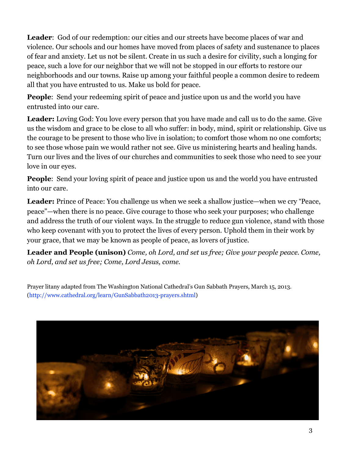Leader: God of our redemption: our cities and our streets have become places of war and violence. Our schools and our homes have moved from places of safety and sustenance to places of fear and anxiety. Let us not be silent. Create in us such a desire for civility, such a longing for peace, such a love for our neighbor that we will not be stopped in our efforts to restore our neighborhoods and our towns. Raise up among your faithful people a common desire to redeem all that you have entrusted to us. Make us bold for peace.

**People:** Send your redeeming spirit of peace and justice upon us and the world you have entrusted into our care.

**Leader:** Loving God: You love every person that you have made and call us to do the same. Give us the wisdom and grace to be close to all who suffer: in body, mind, spirit or relationship. Give us the courage to be present to those who live in isolation; to comfort those whom no one comforts; to see those whose pain we would rather not see. Give us ministering hearts and healing hands. Turn our lives and the lives of our churches and communities to seek those who need to see your love in our eyes.

**People:** Send your loving spirit of peace and justice upon us and the world you have entrusted into our care.

**Leader:** Prince of Peace: You challenge us when we seek a shallow justice—when we cry "Peace, peace"—when there is no peace. Give courage to those who seek your purposes; who challenge and address the truth of our violent ways. In the struggle to reduce gun violence, stand with those who keep covenant with you to protect the lives of every person. Uphold them in their work by your grace, that we may be known as people of peace, as lovers of justice.

**Leader and People (unison)** *Come, oh Lord, and set us free; Give your people peace. Come, oh Lord, and set us free; Come, Lord Jesus, come.*

Prayer litany adapted from The Washington National Cathedral's Gun Sabbath Prayers, March 15, 2013. (http://www.cathedral.org/learn/GunSabbath2013-prayers.shtml)